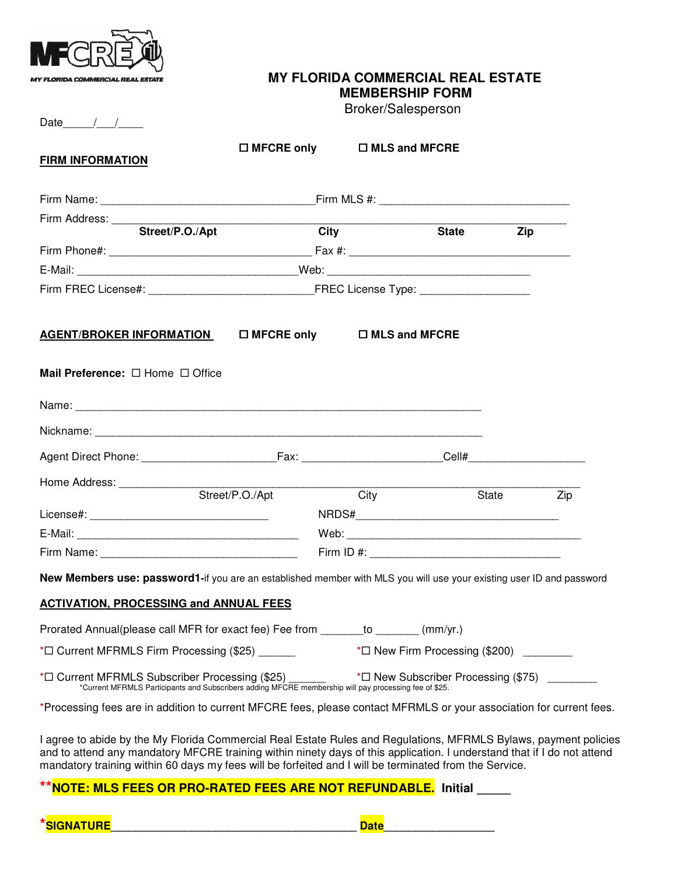

## **MY FLORIDA COMMERCIAL REAL ESTATE MEMBERSHIP FORM**

Broker/Salesperson

Date  $/$  /

| <b>FIRM INFORMATION</b>                                                                                                                                                                                            |                 | $\Box$ MFCRE only $\Box$ MLS and MFCRE           |           |  |
|--------------------------------------------------------------------------------------------------------------------------------------------------------------------------------------------------------------------|-----------------|--------------------------------------------------|-----------|--|
|                                                                                                                                                                                                                    |                 |                                                  |           |  |
|                                                                                                                                                                                                                    |                 |                                                  |           |  |
| Firm Address: Street/P.O./Apt City                                                                                                                                                                                 |                 |                                                  | State Zip |  |
|                                                                                                                                                                                                                    |                 |                                                  |           |  |
|                                                                                                                                                                                                                    |                 |                                                  |           |  |
|                                                                                                                                                                                                                    |                 |                                                  |           |  |
|                                                                                                                                                                                                                    |                 |                                                  |           |  |
| Mail Preference: $\Box$ Home $\Box$ Office                                                                                                                                                                         |                 |                                                  |           |  |
|                                                                                                                                                                                                                    |                 |                                                  |           |  |
|                                                                                                                                                                                                                    |                 |                                                  |           |  |
|                                                                                                                                                                                                                    |                 |                                                  |           |  |
| Home Address: ______________                                                                                                                                                                                       |                 |                                                  |           |  |
|                                                                                                                                                                                                                    | Street/P.O./Apt | <b>City</b>                                      | State Zip |  |
|                                                                                                                                                                                                                    |                 |                                                  |           |  |
|                                                                                                                                                                                                                    |                 |                                                  |           |  |
|                                                                                                                                                                                                                    |                 |                                                  |           |  |
| New Members use: password1-if you are an established member with MLS you will use your existing user ID and password                                                                                               |                 |                                                  |           |  |
| <b>ACTIVATION, PROCESSING and ANNUAL FEES</b>                                                                                                                                                                      |                 |                                                  |           |  |
| Prorated Annual(please call MFR for exact fee) Fee from _______ to ______ (mm/yr.)                                                                                                                                 |                 |                                                  |           |  |
| *□ Current MFRMLS Firm Processing (\$25) _______                                                                                                                                                                   |                 | $\star\Box$ New Firm Processing (\$200) ________ |           |  |
| * $\Box$ Current MFRMLS Subscriber Processing (\$25) ** $\Box$ New Subscriber Processing (\$75) _________<br>*Current MFRMLS Participants and Subscribers adding MFCRE membership will pay processing fee of \$25. |                 |                                                  |           |  |
| *Processing fees are in addition to current MFCRE fees, please contact MFRMLS or your association for current fees.                                                                                                |                 |                                                  |           |  |
| I agree to abide by the My Florida Commercial Real Estate Rules and Regulations, MFRMLS Bylaws, payment policies                                                                                                   |                 |                                                  |           |  |

I agree to abide by the My Florida Commercial Real Estate Rules and Regulations, MFRMLS Bylaws, payment policies and to attend any mandatory MFCRE training within ninety days of this application. I understand that if I do not attend mandatory training within 60 days my fees will be forfeited and I will be terminated from the Service.

## **NOTE: MLS FEES OR PRO-RATED FEES ARE NOT REFUNDABLE.** Initial \_\_\_\_\_

**\*SIGNATURE\_\_\_\_\_\_\_\_\_\_\_\_\_\_\_\_\_\_\_\_\_\_\_\_\_\_\_\_\_\_\_\_\_\_\_\_\_\_\_\_ Date\_\_\_\_\_\_\_\_\_\_\_\_\_\_\_\_\_\_**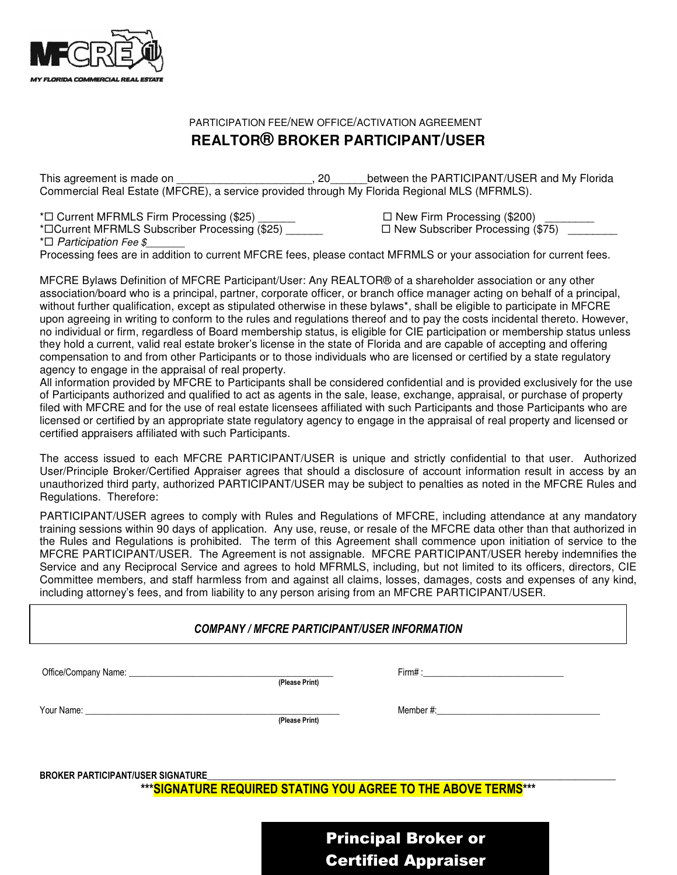

## PARTICIPATION FEE/NEW OFFICE/ACTIVATION AGREEMENT **REALTOR® BROKER PARTICIPANT/USER**

This agreement is made on \_\_\_\_\_\_\_\_\_\_\_\_\_\_\_\_\_\_\_\_\_\_\_, 20\_\_\_\_\_\_\_between the PARTICIPANT/USER and My Florida Commercial Real Estate (MFCRE), a service provided through My Florida Regional MLS (MFRMLS).

\* $\square$  Current MFRMLS Firm Processing (\$25) \_\_\_\_\_\_\_ 
<br>  $\square$  New Firm Processing (\$200) \_\_\_\_\_\_

\*Current MFRMLS Subscriber Processing (\$25) \_\_\_\_\_\_ New Subscriber Processing (\$75) \_\_\_\_\_\_\_\_

 $*$  $\Box$  Participation Fee \$

Processing fees are in addition to current MFCRE fees, please contact MFRMLS or your association for current fees.

MFCRE Bylaws Definition of MFCRE Participant/User: Any REALTOR® of a shareholder association or any other association/board who is a principal, partner, corporate officer, or branch office manager acting on behalf of a principal, without further qualification, except as stipulated otherwise in these bylaws\*, shall be eligible to participate in MFCRE upon agreeing in writing to conform to the rules and regulations thereof and to pay the costs incidental thereto. However, no individual or firm, regardless of Board membership status, is eligible for CIE participation or membership status unless they hold a current, valid real estate broker's license in the state of Florida and are capable of accepting and offering compensation to and from other Participants or to those individuals who are licensed or certified by a state regulatory agency to engage in the appraisal of real property.

All information provided by MFCRE to Participants shall be considered confidential and is provided exclusively for the use of Participants authorized and qualified to act as agents in the sale, lease, exchange, appraisal, or purchase of property filed with MFCRE and for the use of real estate licensees affiliated with such Participants and those Participants who are licensed or certified by an appropriate state regulatory agency to engage in the appraisal of real property and licensed or certified appraisers affiliated with such Participants.

The access issued to each MFCRE PARTICIPANT/USER is unique and strictly confidential to that user. Authorized User/Principle Broker/Certified Appraiser agrees that should a disclosure of account information result in access by an unauthorized third party, authorized PARTICIPANT/USER may be subject to penalties as noted in the MFCRE Rules and Regulations. Therefore:

PARTICIPANT/USER agrees to comply with Rules and Regulations of MFCRE, including attendance at any mandatory training sessions within 90 days of application. Any use, reuse, or resale of the MFCRE data other than that authorized in the Rules and Regulations is prohibited. The term of this Agreement shall commence upon initiation of service to the MFCRE PARTICIPANT/USER. The Agreement is not assignable. MFCRE PARTICIPANT/USER hereby indemnifies the Service and any Reciprocal Service and agrees to hold MFRMLS, including, but not limited to its officers, directors, CIE Committee members, and staff harmless from and against all claims, losses, damages, costs and expenses of any kind, including attorney's fees, and from liability to any person arising from an MFCRE PARTICIPANT/USER.

## COMPANY / MFCRE PARTICIPANT/USER INFORMATION

(Please Print)

Office/Company Name: \_\_\_\_\_\_\_\_\_\_\_\_\_\_\_\_\_\_\_\_\_\_\_\_\_\_\_\_\_\_\_\_\_\_\_\_\_\_\_\_\_\_\_\_\_ Firm# :\_\_\_\_\_\_\_\_\_\_\_\_\_\_\_\_\_\_\_\_\_\_\_\_\_\_\_\_\_\_\_

Your Name:  $\blacksquare$ 

(Please Print)

BROKER PARTICIPANT/USER SIGNATURE

\*\*\*SIGNATURE REQUIRED STATING YOU AGREE TO THE ABOVE TERMS\*\*\*

Principal Broker or Certified Appraiser